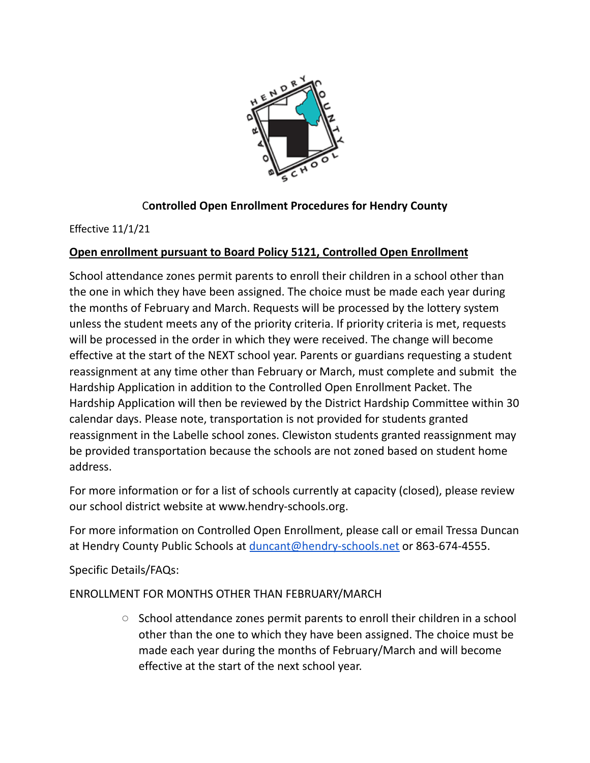

## C**ontrolled Open Enrollment Procedures for Hendry County**

Effective 11/1/21

## **Open enrollment pursuant to Board Policy 5121, Controlled Open Enrollment**

School attendance zones permit parents to enroll their children in a school other than the one in which they have been assigned. The choice must be made each year during the months of February and March. Requests will be processed by the lottery system unless the student meets any of the priority criteria. If priority criteria is met, requests will be processed in the order in which they were received. The change will become effective at the start of the NEXT school year. Parents or guardians requesting a student reassignment at any time other than February or March, must complete and submit the Hardship Application in addition to the Controlled Open Enrollment Packet. The Hardship Application will then be reviewed by the District Hardship Committee within 30 calendar days. Please note, transportation is not provided for students granted reassignment in the Labelle school zones. Clewiston students granted reassignment may be provided transportation because the schools are not zoned based on student home address.

For more information or for a list of schools currently at capacity (closed), please review our school district website at www.hendry-schools.org.

For more information on Controlled Open Enrollment, please call or email Tressa Duncan at Hendry County Public Schools at [duncant@hendry-schools.net](mailto:duncant@hendry-schools.net) or 863-674-4555.

Specific Details/FAQs:

## ENROLLMENT FOR MONTHS OTHER THAN FEBRUARY/MARCH

○ School attendance zones permit parents to enroll their children in a school other than the one to which they have been assigned. The choice must be made each year during the months of February/March and will become effective at the start of the next school year.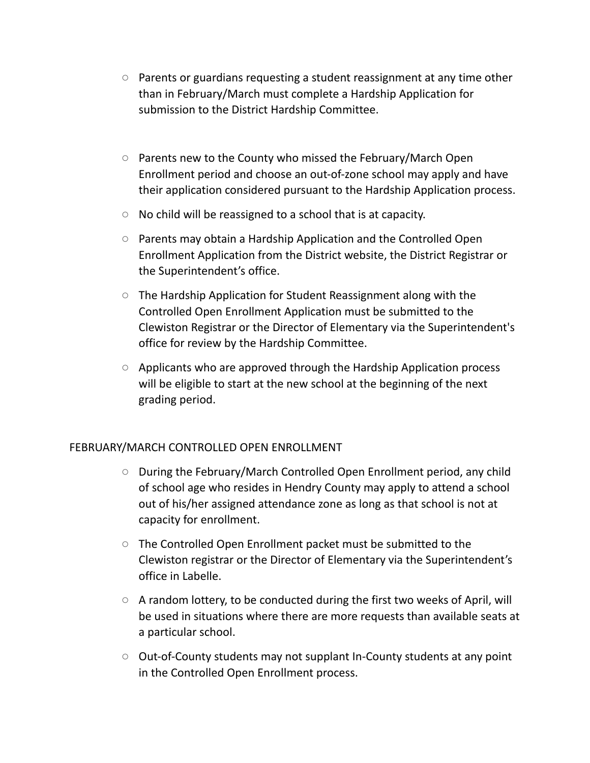- Parents or guardians requesting a student reassignment at any time other than in February/March must complete a Hardship Application for submission to the District Hardship Committee.
- Parents new to the County who missed the February/March Open Enrollment period and choose an out-of-zone school may apply and have their application considered pursuant to the Hardship Application process.
- No child will be reassigned to a school that is at capacity.
- Parents may obtain a Hardship Application and the Controlled Open Enrollment Application from the District website, the District Registrar or the Superintendent's office.
- The Hardship Application for Student Reassignment along with the Controlled Open Enrollment Application must be submitted to the Clewiston Registrar or the Director of Elementary via the Superintendent's office for review by the Hardship Committee.
- Applicants who are approved through the Hardship Application process will be eligible to start at the new school at the beginning of the next grading period.

## FEBRUARY/MARCH CONTROLLED OPEN ENROLLMENT

- During the February/March Controlled Open Enrollment period, any child of school age who resides in Hendry County may apply to attend a school out of his/her assigned attendance zone as long as that school is not at capacity for enrollment.
- The Controlled Open Enrollment packet must be submitted to the Clewiston registrar or the Director of Elementary via the Superintendent's office in Labelle.
- A random lottery, to be conducted during the first two weeks of April, will be used in situations where there are more requests than available seats at a particular school.
- Out-of-County students may not supplant In-County students at any point in the Controlled Open Enrollment process.